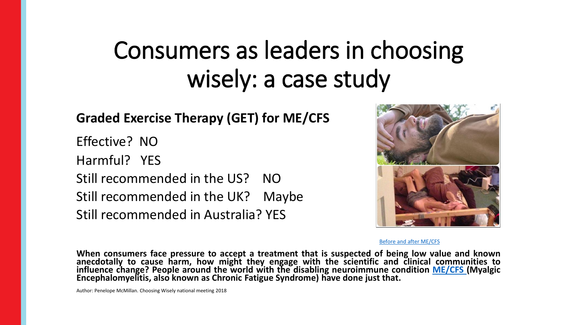## Consumers as leaders in choosing wisely: a case study

### **Graded Exercise Therapy (GET) for ME/CFS**

Effective? NO Harmful? YES Still recommended in the US? NO Still recommended in the UK? Maybe Still recommended in Australia? YES



[Before and after ME/CFS](https://www.youtube.com/watch?v=vfZwqLjDR4w)

**When consumers face pressure to accept a treatment that is suspected of being low value and known anecdotally to cause harm, how might they engage with the scientific and clinical communities to influence change? People around the world with the disabling neuroimmune condition [ME/CFS](http://may12th.org.au/what-is-mecfs/) (Myalgic Encephalomyelitis, also known as Chronic Fatigue Syndrome) have done just that.**

Author: Penelope McMillan. Choosing Wisely national meeting 2018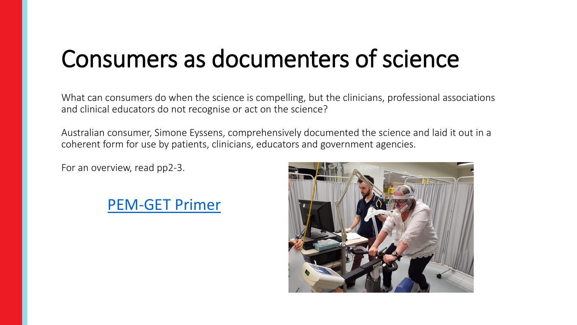## Consumers as documenters of science

What can consumers do when the science is compelling, but the clinicians, professional associations and clinical educators do not recognise or act on the science?

Australian consumer, Simone Eyssens, comprehensively documented the science and laid it out in a coherent form for use by patients, clinicians, educators and government agencies.

For an overview, read pp2-3.



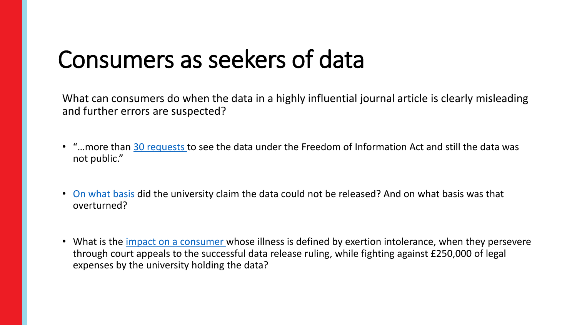### Consumers as seekers of data

What can consumers do when the data in a highly influential journal article is clearly misleading and further errors are suspected?

- "…more than [30 requests](http://www.news.com.au/technology/science/human-body/how-alem-matthees-letter-helped-solve-chronic-fatigue-syndrome-mystery/news-story/eb566e1a0f6bcaadb362818a12c2e386) to see the data under the Freedom of Information Act and still the data was not public."
- [On what basis](https://retractionwatch.com/2016/08/17/uk-tribunal-orders-release-of-data-from-controversial-chronic-fatigue-syndrome-study/) did the university claim the data could not be released? And on what basis was that overturned?
- What is the *impact on a consumer* whose illness is defined by exertion intolerance, when they persevere through court appeals to the successful data release ruling, while fighting against £250,000 of legal expenses by the university holding the data?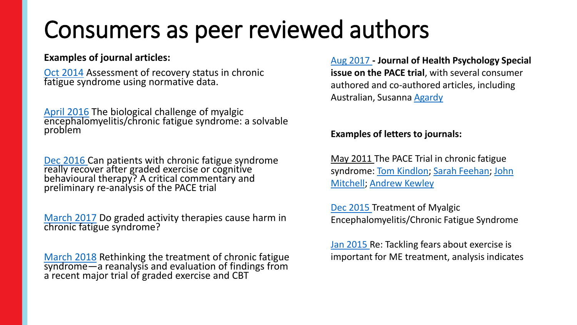## Consumers as peer reviewed authors

#### **Examples of journal articles:**

[Oct 2014](https://www.ncbi.nlm.nih.gov/pubmed/25304959) Assessment of recovery status in chronic fatigue syndrome using normative data.

[April 2016](https://www.tandfonline.com/doi/full/10.1080/21641846.2016.1160598) The biological challenge of myalgic encephalomyelitis/chronic fatigue syndrome: a solvable problem

[Dec 2016](https://www.tandfonline.com/doi/abs/10.1080/21641846.2017.1259724?journalCode=rftg20) Can patients with chronic fatigue syndrome really recover after graded exercise or cognitive behavioural therapy? A critical commentary and preliminary re-analysis of the PACE trial

[March 2017](http://journals.sagepub.com/doi/10.1177/1359105317697323) Do graded activity therapies cause harm in chronic fatigue syndrome?

[March 2018](https://bmcpsychology.biomedcentral.com/articles/10.1186/s40359-018-0218-3) Rethinking the treatment of chronic fatigue syndrome—a reanalysis and evaluation of findings from a<sup>'</sup>recent major trial of graded exercise and CBT

[Aug 2017](http://journals.sagepub.com/toc/hpqa/22/9) **- Journal of Health Psychology Special issue on the PACE trial**, with several consumer authored and co-authored articles, including Australian, Susanna [Agardy](http://journals.sagepub.com/doi/full/10.1177/1359105317715476)

#### **Examples of letters to journals:**

May 2011 The PACE Trial in chronic fatigue [syndrome: Tom Kindlon; Sarah Feehan; John](https://www.thelancet.com/journals/lancet/article/PIIS0140-6736(11)60683-1/fulltext?code=lancet-site)  Mitchell; [Andrew Kewley](https://www.thelancet.com/journals/lancet/article/PIIS0140-6736(11)60681-8/fulltext)

[Dec 2015 T](http://annals.org/aim/article-abstract/2473521/treatment-myalgic-encephalomyelitis-chronic-fatigue-syndrome)reatment of Myalgic Encephalomyelitis/Chronic Fatigue Syndrome

[Jan 2015](https://www.bmj.com/content/350/bmj.h227/rr-16) Re: Tackling fears about exercise is important for ME treatment, analysis indicates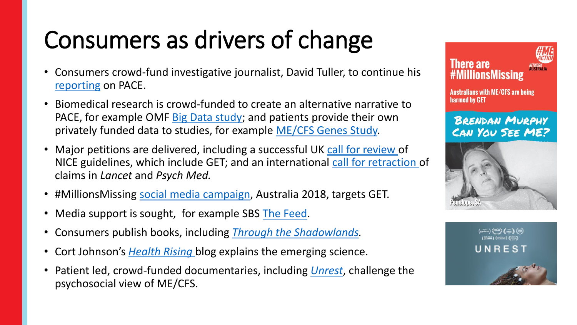# Consumers as drivers of change

- Consumers crowd-fund investigative journalist, David Tuller, to continue his [reporting](http://www.virology.ws/mecfs/) on PACE.
- Biomedical research is crowd-funded to create an alternative narrative to PACE, for example OMF [Big Data study;](https://www.omf.ngo/2018/05/09/severely-ill-big-data-study/) and patients provide their own privately funded data to studies, for example [ME/CFS Genes Study.](http://www.nova.edu/nim/research/mecfs-genes.html)
- Major petitions are delivered, including a successful UK [call for review o](https://www.change.org/p/petition-the-nice-guideline-for-cfs-me-is-unfit-for-purpose-and-needs-a-complete-revision)f NICE guidelines, which include GET; and an international [call for retraction](https://my.meaction.net/petitions/pace-trial-needs-review-now) of claims in *Lancet* and *Psych Med.*
- #MillionsMissing [social media campaign](https://www.facebook.com/MEActionNetworkAustralia/photos/a.1406628402738854.1073741829.1067718486629849/1679348188800206/?type=3&theater), Australia 2018, targets GET.
- Media support is sought, for example SBS [The Feed](https://www.youtube.com/watch?v=iym0mBx8fCI).
- Consumers publish books, including *[Through the Shadowlands.](https://www.julierehmeyer.com/throughtheshadowlands/)*
- Cort Johnson's *[Health Rising](https://www.healthrising.org/?s=Graded%20Exercise%20Therapy)* blog explains the emerging science.
- Patient led, crowd-funded documentaries, including *[Unrest](https://www.youtube.com/watch?v=JvK5s9BNLzA)*, challenge the psychosocial view of ME/CFS.



**Australians with ME/CFS are being** harmed by GET

### **BRENDAN MURPHY** CAN YOU SEE ME?